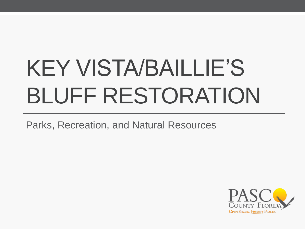# KEY VISTA/BAILLIE'S BLUFF RESTORATION

Parks, Recreation, and Natural Resources

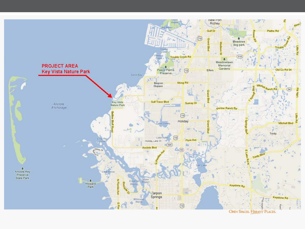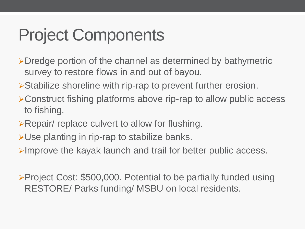### Project Components

- Dredge portion of the channel as determined by bathymetric survey to restore flows in and out of bayou.
- Stabilize shoreline with rip-rap to prevent further erosion.
- Construct fishing platforms above rip-rap to allow public access to fishing.
- **Example 2 Repair/ replace culvert to allow for flushing.**
- Use planting in rip-rap to stabilize banks.
- $\triangleright$ Improve the kayak launch and trail for better public access.

**≻Project Cost: \$500,000. Potential to be partially funded using** RESTORE/ Parks funding/ MSBU on local residents.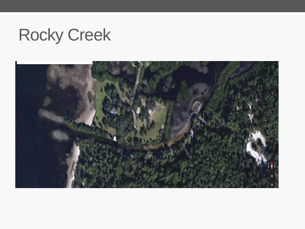#### Rocky Creek

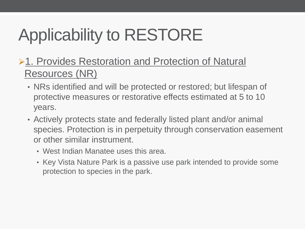## Applicability to RESTORE

- **≻1. Provides Restoration and Protection of Natural** Resources (NR)
	- NRs identified and will be protected or restored; but lifespan of protective measures or restorative effects estimated at 5 to 10 years.
	- Actively protects state and federally listed plant and/or animal species. Protection is in perpetuity through conservation easement or other similar instrument.
		- West Indian Manatee uses this area.
		- Key Vista Nature Park is a passive use park intended to provide some protection to species in the park.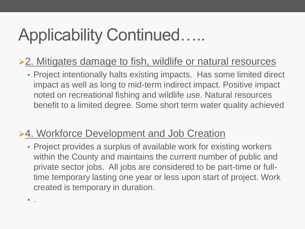### Applicability Continued…..

#### ▶ 2. Mitigates damage to fish, wildlife or natural resources

• Project intentionally halts existing impacts. Has some limited direct impact as well as long to mid-term indirect impact. Positive impact noted on recreational fishing and wildlife use. Natural resources benefit to a limited degree. Some short term water quality achieved

#### **≻4. Workforce Development and Job Creation**

 $\bullet$  .

• Project provides a surplus of available work for existing workers within the County and maintains the current number of public and private sector jobs. All jobs are considered to be part-time or fulltime temporary lasting one year or less upon start of project. Work created is temporary in duration.